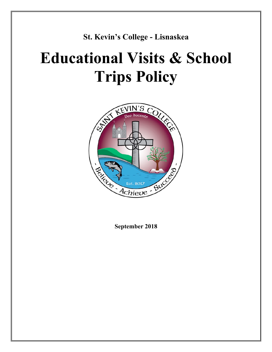**St. Kevin's College - Lisnaskea**

# **Educational Visits & School Trips Policy**



**September 2018**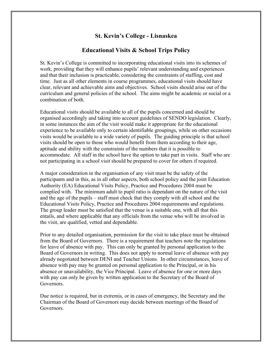# **St. Kevin's College - Lisnaskea**

## **Educational Visits & School Trips Policy**

St. Kevin's College is committed to incorporating educational visits into its schemes of work, providing that they will enhance pupils' relevant understanding and experiences and that their inclusion is practicable, considering the constraints of staffing, cost and time. Just as all other elements in course programmes, educational visits should have clear, relevant and achievable aims and objectives. School visits should arise out of the curriculum and general policies of the school. The aims might be academic or social or a combination of both.

Educational visits should be available to all of the pupils concerned and should be organised accordingly and taking into account guidelines of SENDO legislation. Clearly, in some instances the aim of the visit would make it appropriate for the educational experience to be available only to certain identifiable groupings, while on other occasions visits would be available to a wide variety of pupils. The guiding principle is that school visits should be open to those who would benefit from them according to their age, aptitude and ability with the constraints of the numbers that it is possible to accommodate. All staff in the school have the option to take part in visits. Staff who are not participating in a school visit should be prepared to cover for others if required.

A major consideration in the organisation of any visit must be the safety of the participants and in this, as in all other aspects, both school policy and the joint Education Authority (EA) Educational Visits Policy, Practice and Procedures 2004 must be complied with. The minimum adult to pupil ratio is dependant on the nature of the visit and the age of the pupils – staff must check that they comply with all school and the Educational Visits Policy, Practice and Procedures 2004 requirements and regulations. The group leader must be satisfied that the venue is a suitable one, with all that this entails, and where applicable that any officials from the venue who will be involved in the visit, are qualified, vetted and dependable.

Prior to any detailed organisation, permission for the visit to take place must be obtained from the Board of Governors. There is a requirement that teachers note the regulations for leave of absence with pay. This can only be granted by personal application to the Board of Governors in writing. This does not apply to normal leave of absence with pay already negotiated between DENI and Teacher Unions. In other circumstances, leave of absence with pay may be granted on personal application to the Principal, or in his absence or unavailability, the Vice Principal. Leave of absence for one or more days with pay can only be given by written application to the Secretary of the Board of Governors.

Due notice is required, but in extremis, or in cases of emergency, the Secretary and the Chairman of the Board of Governors may decide between meetings of the Board of Governors.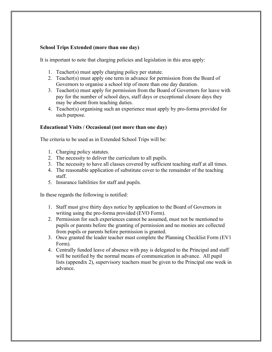#### **School Trips Extended (more than one day)**

It is important to note that charging policies and legislation in this area apply:

- 1. Teacher(s) must apply charging policy per statute.
- 2. Teacher(s) must apply one term in advance for permission from the Board of Governors to organise a school trip of more than one day duration.
- 3. Teacher(s) must apply for permission from the Board of Governors for leave with pay for the number of school days, staff days or exceptional closure days they may be absent from teaching duties.
- 4. Teacher(s) organising such an experience must apply by pro-forma provided for such purpose.

#### **Educational Visits / Occasional (not more than one day)**

The criteria to be used as in Extended School Trips will be:

- 1. Charging policy statutes.
- 2. The necessity to deliver the curriculum to all pupils.
- 3. The necessity to have all classes covered by sufficient teaching staff at all times.
- 4. The reasonable application of substitute cover to the remainder of the teaching staff.
- 5. Insurance liabilities for staff and pupils.

In these regards the following is notified:

- 1. Staff must give thirty days notice by application to the Board of Governors in writing using the pro-forma provided (EVO Form).
- 2. Permission for such experiences cannot be assumed, must not be mentioned to pupils or parents before the granting of permission and no monies are collected from pupils or parents before permission is granted.
- 3. Once granted the leader teacher must complete the Planning Checklist Form (EV1 Form).
- 4. Centrally funded leave of absence with pay is delegated to the Principal and staff will be notified by the normal means of communication in advance. All pupil lists (appendix 2), supervisory teachers must be given to the Principal one week in advance.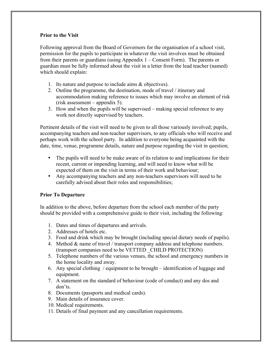#### **Prior to the Visit**

Following approval from the Board of Governors for the organisation of a school visit, permission for the pupils to participate in whatever the visit involves must be obtained from their parents or guardians (using Appendix 1 – Consent Form). The parents or guardian must be fully informed about the visit in a letter from the lead teacher (named) which should explain:

- 1. Its nature and purpose to include aims & objectives).
- 2. Outline the programme, the destination, mode of travel / itinerary and accommodation making reference to issues which may involve an element of risk (risk assessment – appendix 5).
- 3. How and when the pupils will be supervised making special reference to any work not directly supervised by teachers.

Pertinent details of the visit will need to be given to all those variously involved; pupils, accompanying teachers and non-teacher supervisors, to any officials who will receive and perhaps work with the school party. In addition to everyone being acquainted with the date, time, venue, programme details, nature and purpose regarding the visit in question;

- The pupils will need to be make aware of its relation to and implications for their recent, current or impending learning, and will need to know what will be expected of them on the visit in terms of their work and behaviour;
- Any accompanying teachers and any non-teachers supervisors will need to be carefully advised about their roles and responsibilities;

#### **Prior To Departure**

In addition to the above, before departure from the school each member of the party should be provided with a comprehensive guide to their visit, including the following:

- 1. Dates and times of departures and arrivals.
- 2. Addresses of hotels etc.
- 3. Food and drink which may be brought (including special dietary needs of pupils).
- 4. Method & name of travel / transport company address and telephone numbers. (transport companies need to be VETTED \_CHILD PROTECTION)
- 5. Telephone numbers of the various venues, the school and emergency numbers in the home locality and away.
- 6. Any special clothing / equipment to be brought identification of luggage and equipment.
- 7. A statement on the standard of behaviour (code of conduct) and any dos and don'ts.
- 8. Documents (passports and medical cards).
- 9. Main details of insurance cover.
- 10. Medical requirements.
- 11. Details of final payment and any cancellation requirements.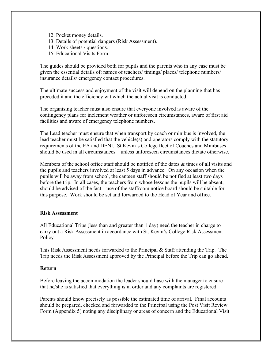- 12. Pocket money details.
- 13. Details of potential dangers (Risk Assessment).
- 14. Work sheets / questions.
- 15. Educational Visits Form.

The guides should be provided both for pupils and the parents who in any case must be given the essential details of: names of teachers/ timings/ places/ telephone numbers/ insurance details/ emergency contact procedures.

The ultimate success and enjoyment of the visit will depend on the planning that has preceded it and the efficiency wit which the actual visit is conducted.

The organising teacher must also ensure that everyone involved is aware of the contingency plans for inclement weather or unforeseen circumstances, aware of first aid facilities and aware of emergency telephone numbers.

The Lead teacher must ensure that when transport by coach or minibus is involved, the lead teacher must be satisfied that the vehicle(s) and operators comply with the statutory requirements of the EA and DENI. St Kevin's College fleet of Coaches and Minibuses should be used in all circumstances – unless unforeseen circumstances dictate otherwise.

Members of the school office staff should be notified of the dates  $\&$  times of all visits and the pupils and teachers involved at least 5 days in advance. On any occasion when the pupils will be away from school, the canteen staff should be notified at least two days before the trip. In all cases, the teachers from whose lessons the pupils will be absent, should be advised of the fact – use of the staffroom notice board should be suitable for this purpose. Work should be set and forwarded to the Head of Year and office.

#### **Risk Assessment**

All Educational Trips (less than and greater than 1 day) need the teacher in charge to carry out a Risk Assessment in accordance with St. Kevin's College Risk Assessment Policy.

This Risk Assessment needs forwarded to the Principal & Staff attending the Trip. The Trip needs the Risk Assessment approved by the Principal before the Trip can go ahead.

#### **Return**

Before leaving the accommodation the leader should liase with the manager to ensure that he/she is satisfied that everything is in order and any complaints are registered.

Parents should know precisely as possible the estimated time of arrival. Final accounts should be prepared, checked and forwarded to the Principal using the Post Visit Review Form (Appendix 5) noting any disciplinary or areas of concern and the Educational Visit